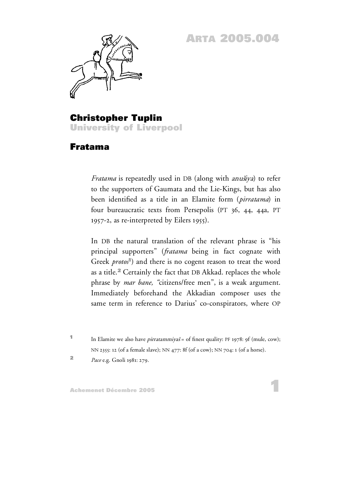## **ARTA 2005.004**



**Christopher Tuplin University of Liverpool**

## **Fratama**

*Fratama* is repeatedly used in DB (along with anušiya) to refer to the supporters of Gaumata and the Lie-Kings, but has also been identified as a title in an Elamite form (*pirratama*) in four bureaucratic texts from Persepolis (PT 36, 44, 44a, PT 1957-2, as re-interpreted by Eilers 1955).

In DB the natural translation of the relevant phrase is "his principal supporters" (*fratama* being in fact cognate with Greek *protos*<sup>1</sup>) and there is no cogent reason to treat the word as a title. **<sup>2</sup>** Certainly the fact that DB Akkad. replaces the whole phrase by *mar bane, "*citizens/free men", is a weak argument. Immediately beforehand the Akkadian composer uses the same term in reference to Darius' co-conspirators, where OP

**1** In Elamite we also have *pirratammiyaš* = of finest quality: PF 1978: 9f (mule, cow); NN 2355: 12 (of a female slave); NN 477: 8f (of a cow); NN 704: 1 (of a horse).

**<sup>2</sup>** *Pace* e.g. Gnoli 1981: 279.

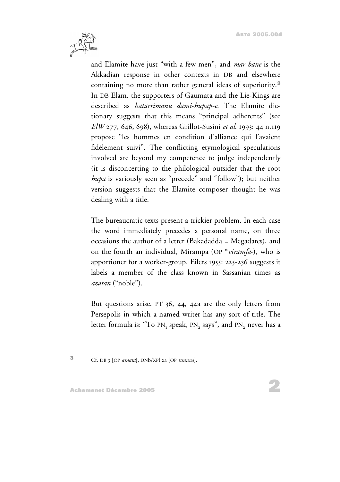

and Elamite have just "with a few men", and *mar bane* is the Akkadian response in other contexts in DB and elsewhere containing no more than rather general ideas of superiority. **3** In DB Elam. the supporters of Gaumata and the Lie-Kings are described as *hatarrimanu dami-hupap-e*. The Elamite dictionary suggests that this means "principal adherents" (see *ElW* 277, 646, 698), whereas Grillot-Susini *et al*. 1993: 44 n.119 propose "les hommes en condition d'alliance qui l'avaient fidèlement suivi". The conflicting etymological speculations involved are beyond my competence to judge independently (it is disconcerting to the philological outsider that the root *hupa* is variously seen as "precede" and "follow"); but neither version suggests that the Elamite composer thought he was dealing with a title.

The bureaucratic texts present a trickier problem. In each case the word immediately precedes a personal name, on three occasions the author of a letter (Bakadadda = Megadates), and on the fourth an individual, Mirampa (OP \**viramfa*-), who is apportioner for a worker-group. Eilers 1955: 225-236 suggests it labels a member of the class known in Sassanian times as *azatan* ("noble").

But questions arise. PT 36, 44, 44a are the only letters from Persepolis in which a named writer has any sort of title. The letter formula is: "To PN, speak, PN, says", and PN, never has a

**<sup>3</sup>** Cf. DB 3 [OP *amata*], DNb/XPl 2a [OP *tunuva*].

**Achemenet Décembre 2005**

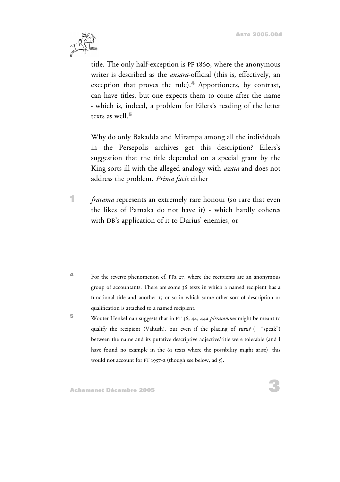

title. The only half-exception is PF 1860, where the anonymous writer is described as the *ansara*-official (this is, effectively, an exception that proves the rule). **<sup>4</sup>** Apportioners, by contrast, can have titles, but one expects them to come after the name - which is, indeed, a problem for Eilers's reading of the letter texts as well. **5**

Why do only Bakadda and Mirampa among all the individuals in the Persepolis archives get this description? Eilers's suggestion that the title depended on a special grant by the King sorts ill with the alleged analogy with *azata* and does not address the problem. *Prima facie* either

- **1** *fratama* represents an extremely rare honour (so rare that even the likes of Parnaka do not have it) - which hardly coheres with DB's application of it to Darius' enemies, or
- **4** For the reverse phenomenon cf. PFa 27, where the recipients are an anonymous group of accountants. There are some 36 texts in which a named recipient has a functional title and another 15 or so in which some other sort of description or qualification is attached to a named recipient.
- **<sup>5</sup>** Wouter Henkelman suggests that in PT 36, 44, 44a *pirratamma* might be meant to qualify the recipient (Vahush), but even if the placing of turus  $($  = "speak") between the name and its putative descriptive adjective/title were tolerable (and I have found no example in the 61 texts where the possibility might arise), this would not account for PT 1957-2 (though see below, ad 5).

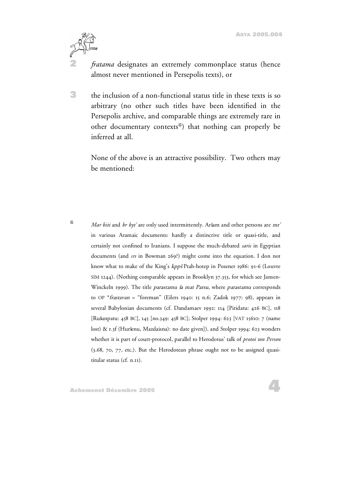

**2** *fratama* designates an extremely commonplace status (hence almost never mentioned in Persepolis texts), or

**3** the inclusion of a non-functional status title in these texts is so arbitrary (no other such titles have been identified in the Persepolis archive, and comparable things are extremely rare in other documentary contexts**<sup>6</sup>**) that nothing can properly be inferred at all.

None of the above is an attractive possibility. Two others may be mentioned:

**6** *Mar biti* and *br byt'* are only used intermittently. Aršam and other persons are mr' in various Aramaic documents: hardly a distinctive title or quasi-title, and certainly not confined to Iranians. I suppose the much-debated *saris* in Egyptian documents (and *srs* in Bowman 269?) might come into the equation. I don not know what to make of the King's kppšPtah-hotep in Posener 1986: 91-6 (Louvre SIM 1244). (Nothing comparable appears in Brooklyn 37.353, for which see Jansen-Winckeln 1999). The title parastamu ša mat Parsu, where parastamu corresponds to OP \*frastavan = "foreman" (Eilers 1940: 15 n.6; Zadok 1977: 98), appears in several Babylonian documents (cf. Dandamaev 1992: 114 [Piridatu: 426 BC], 118 [Rušunpatu: 458 BC], 145 [no.349: 458 BC]; Stolper 1994: 623 [VAT 15610: 7 (name lost) & r.3f (Huršenu, Mazdaisna): no date given]), and Stolper 1994: 623 wonders whether it is part of court-protocol, parallel to Herodotus' talk of *protoi ton Person* (3.68, 70, 77, etc.). But the Herodotean phrase ought not to be assigned quasititular status (cf. n.11).

**Achemenet Décembre 2005**

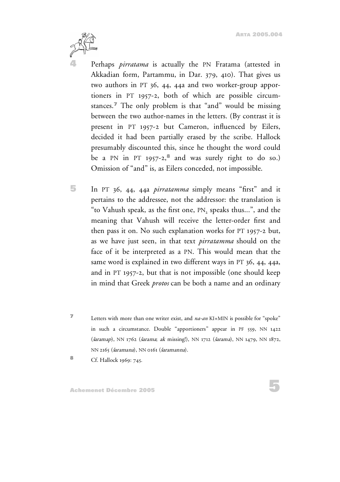

**4** Perhaps *pirratama* is actually the PN Fratama (attested in Akkadian form, Partammu, in Dar. 379, 410). That gives us two authors in PT 36, 44, 44a and two worker-group apportioners in PT 1957-2, both of which are possible circumstances. **<sup>7</sup>** The only problem is that "and" would be missing between the two author-names in the letters. (By contrast it is present in PT 1957-2 but Cameron, influenced by Eilers, decided it had been partially erased by the scribe. Hallock presumably discounted this, since he thought the word could be a PN in PT 1957-2, **<sup>8</sup>** and was surely right to do so.) Omission of "and" is, as Eilers conceded, not impossible.

- **5** In PT 36, 44, 44a *pirratamma* simply means "first" and it pertains to the addressee, not the addressor: the translation is "to Vahush speak, as the first one,  $PN_2$  speaks thus...", and the meaning that Vahush will receive the letter-order first and then pass it on. No such explanation works for PT 1957-2 but, as we have just seen, in that text *pirratamma* should on the face of it be interpreted as a PN. This would mean that the same word is explained in two different ways in PT 36, 44, 44a, and in PT 1957-2, but that is not impossible (one should keep in mind that Greek *protos* can be both a name and an ordinary
- **<sup>7</sup>** Letters with more than one writer exist, and *na-an* KI+MIN is possible for "spoke" in such a circumstance. Double "apportioners" appear in PF 559, NN 1422 (šaramap), NN 1762 (šarama; ak missing!), NN 1712 (šarama), NN 1479, NN 1872, NN 2165 (šaramana), NN 0161 (šaramanna).
- **<sup>8</sup>** Cf. Hallock 1969: 745.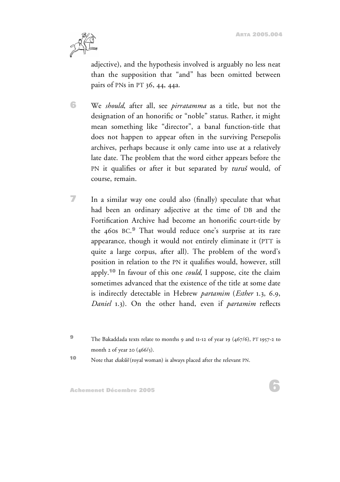**ARTA 2005.004**



adjective), and the hypothesis involved is arguably no less neat than the supposition that "and" has been omitted between pairs of PNs in PT 36, 44, 44a.

**6** We *should*, after all, see *pirratamma* as a title, but not the designation of an honorific or "noble" status. Rather, it might mean something like "director", a banal function-title that does not happen to appear often in the surviving Persepolis archives, perhaps because it only came into use at a relatively late date. The problem that the word either appears before the PN it qualifies or after it but separated by turus would, of course, remain.

**7** In a similar way one could also (finally) speculate that what had been an ordinary adjective at the time of DB and the Fortification Archive had become an honorific court-title by the 460s BC. **<sup>9</sup>** That would reduce one's surprise at its rare appearance, though it would not entirely eliminate it (PTT is quite a large corpus, after all). The problem of the word's position in relation to the PN it qualifies would, however, still apply. **<sup>10</sup>** In favour of this one *could*, I suppose, cite the claim sometimes advanced that the existence of the title at some date is indirectly detectable in Hebrew *partamim* (*Esther* 1.3, 6.9, *Daniel* 1.3). On the other hand, even if *partamim* reflects

**<sup>9</sup>** The Bakaddada texts relate to months 9 and 11-12 of year 19 (467/6), PT 1957-2 to month 2 of year 20  $(466/5)$ .

**10** Note that *dukšiš* (royal woman) is always placed after the relevant PN.

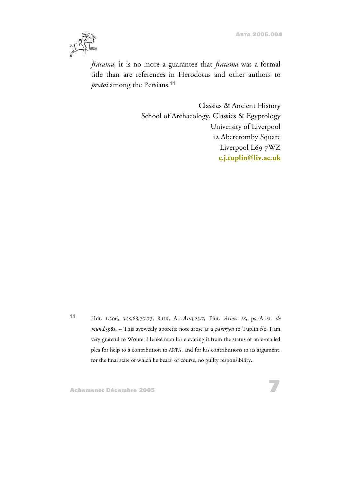**7**



*fratama*, it is no more a guarantee that *fratama* was a formal title than are references in Herodotus and other authors to *protoi* among the Persians. **11**

> Classics & Ancient History School of Archaeology, Classics & Egyptology University of Liverpool 12 Abercromby Square Liverpool L69 7WZ **[c.j.tuplin@liv.ac.uk](mailto:c.j.tuplin@liv.ac.uk)**

**<sup>11</sup>** Hdt. 1.206, 3.35,68,70,77, 8.119, Arr.An.3.23.7, Plut. *Artox*. 25, ps.-Arist. *de mund*.398a. – This avowedly aporetic note arose as a *parergon* to Tuplin f/c. I am very grateful to Wouter Henkelman for elevating it from the status of an e-mailed plea for help to a contribution to ARTA, and for his contributions to its argument, for the final state of which he bears, of course, no guilty responsibility.

**Achemenet Décembre 2005**